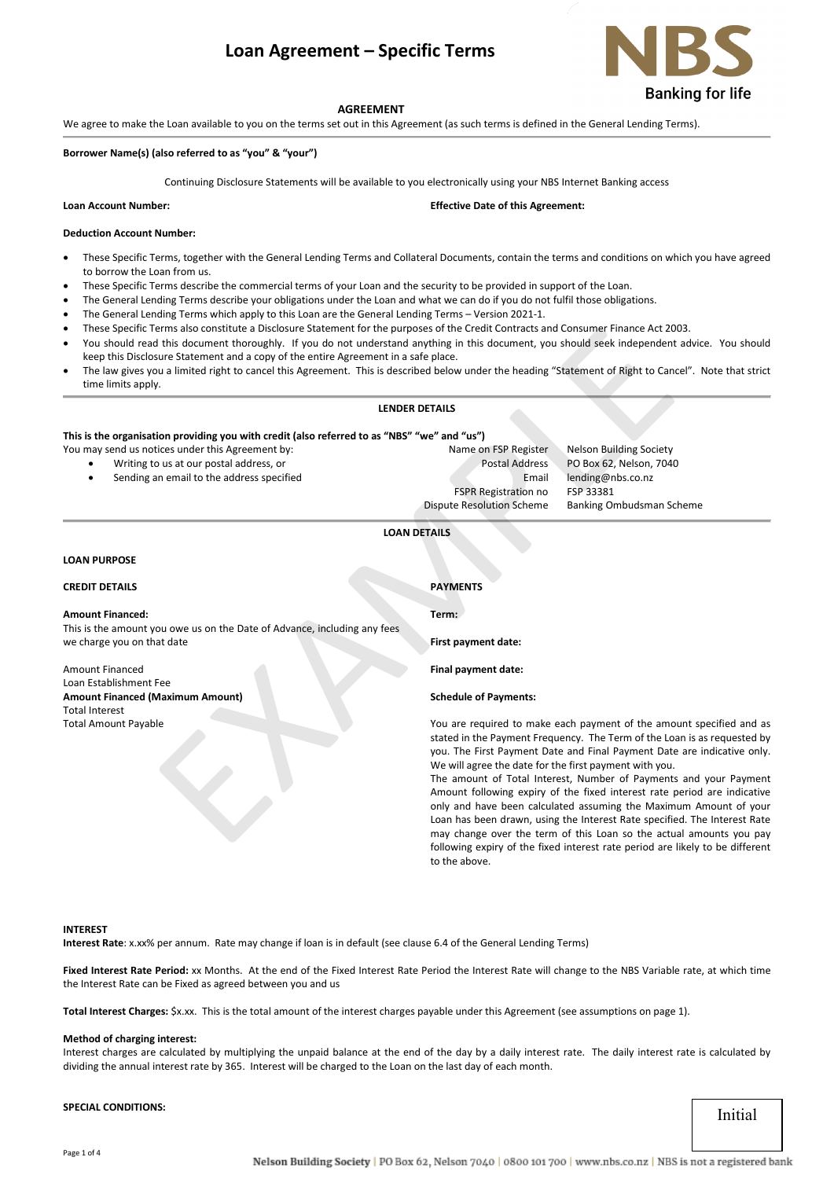# **Loan Agreement – Specific Terms**



#### **AGREEMENT**

We agree to make the Loan available to you on the terms set out in this Agreement (as such terms is defined in the General Lending Terms).

#### **Borrower Name(s) (also referred to as "you" & "your")**

Continuing Disclosure Statements will be available to you electronically using your NBS Internet Banking access

**Loan Account Number: Effective Date of this Agreement:** 

#### **Deduction Account Number:**

- These Specific Terms, together with the General Lending Terms and Collateral Documents, contain the terms and conditions on which you have agreed to borrow the Loan from us.
- These Specific Terms describe the commercial terms of your Loan and the security to be provided in support of the Loan.
- The General Lending Terms describe your obligations under the Loan and what we can do if you do not fulfil those obligations.
- The General Lending Terms which apply to this Loan are the General Lending Terms Version 2021-1.
- These Specific Terms also constitute a Disclosure Statement for the purposes of the Credit Contracts and Consumer Finance Act 2003.
- You should read this document thoroughly. If you do not understand anything in this document, you should seek independent advice. You should keep this Disclosure Statement and a copy of the entire Agreement in a safe place.
- The law gives you a limited right to cancel this Agreement. This is described below under the heading "Statement of Right to Cancel". Note that strict time limits apply.

#### **LENDER DETAILS**

# **This is the organisation providing you with credit (also referred to as "NBS" "we" and "us")**

You may send us notices under this Agreement by: Name on FSP Register Nelson Building Society

- Writing to us at our postal address, or Postal Address PO Box 62, Nelson, 7040
	- Sending an email to the address specified Email lending@nbs.co.nz
- FSPR Registration no FSP 33381

Dispute Resolution Scheme Banking Ombudsman Scheme

## **LOAN DETAILS**

# **LOAN PURPOSE**

Total Amount Payable

# **CREDIT DETAILS PAYMENTS Amount Financed:** This is the amount you owe us on the Date of Advance, including any fees we charge you on that date Amount Financed Loan Establishment Fee **Amount Financed (Maximum Amount)** Total Interest **Term: First payment date: Final payment date: Schedule of Payments:** EXAMPLEM SIGN DRIGHTS and Conservation in the Control of the Control of the Conservation of the Conservation of the Conservation of the Conservation of the Conservation of the Conservation of the Conservation of the multip

You are required to make each payment of the amount specified and as stated in the Payment Frequency. The Term of the Loan is as requested by you. The First Payment Date and Final Payment Date are indicative only. We will agree the date for the first payment with you.

The amount of Total Interest, Number of Payments and your Payment Amount following expiry of the fixed interest rate period are indicative only and have been calculated assuming the Maximum Amount of your Loan has been drawn, using the Interest Rate specified. The Interest Rate may change over the term of this Loan so the actual amounts you pay following expiry of the fixed interest rate period are likely to be different to the above.

#### **INTEREST**

**Interest Rate**: x.xx% per annum. Rate may change if loan is in default (see clause 6.4 of the General Lending Terms)

Fixed Interest Rate Period: xx Months. At the end of the Fixed Interest Rate Period the Interest Rate will change to the NBS Variable rate, at which time the Interest Rate can be Fixed as agreed between you and us

**Total Interest Charges:** \$x.xx. This is the total amount of the interest charges payable under this Agreement (see assumptions on page 1).

# **Method of charging interest:**

Interest charges are calculated by multiplying the unpaid balance at the end of the day by a daily interest rate. The daily interest rate is calculated by dividing the annual interest rate by 365. Interest will be charged to the Loan on the last day of each month.

**SPECIAL CONDITIONS:**

Initial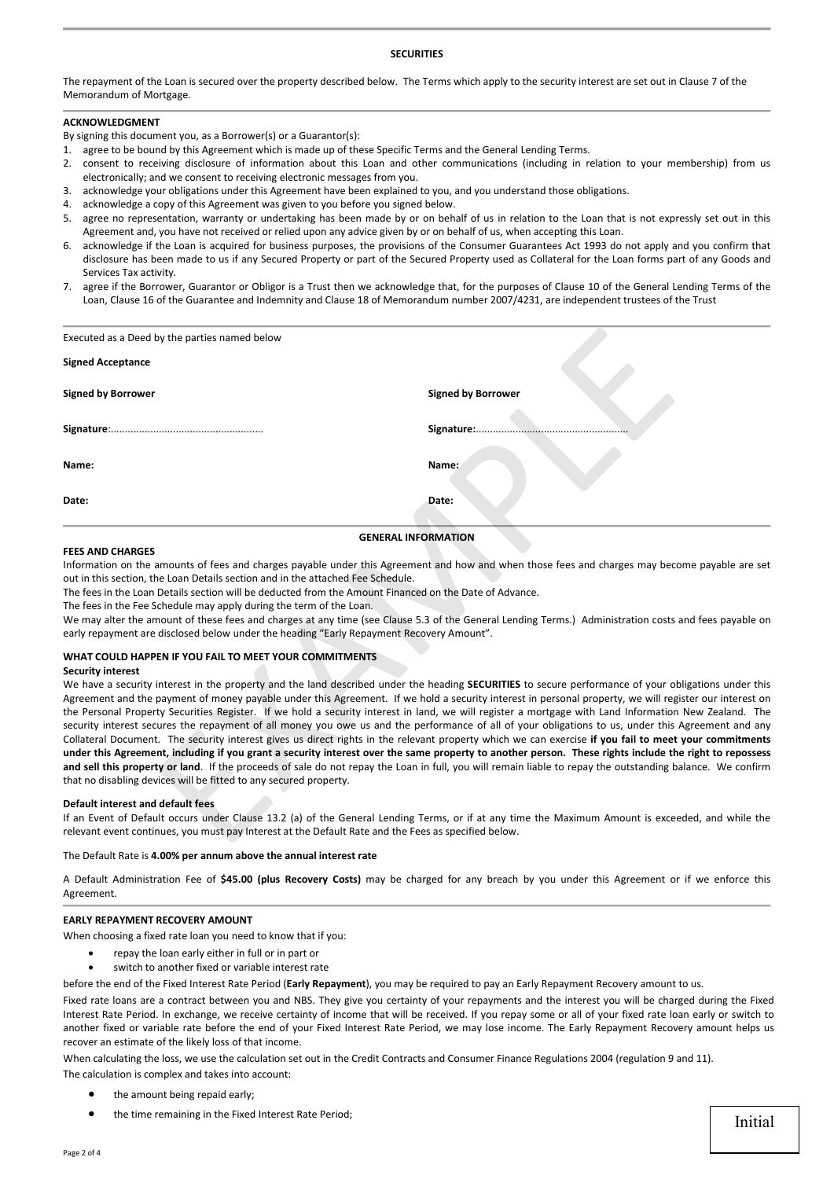# **SECURITIES**

The repayment of the Loan is secured over the property described below. The Terms which apply to the security interest are set out in Clause 7 of the Memorandum of Mortgage.

# **ACKNOWLEDGMENT**

By signing this document you, as a Borrower(s) or a Guarantor(s):

- 1. agree to be bound by this Agreement which is made up of these Specific Terms and the General Lending Terms.
- 2. consent to receiving disclosure of information about this Loan and other communications (including in relation to your membership) from us electronically; and we consent to receiving electronic messages from you.
- 3. acknowledge your obligations under this Agreement have been explained to you, and you understand those obligations.
- 4. acknowledge a copy of this Agreement was given to you before you signed below.
- 5. agree no representation, warranty or undertaking has been made by or on behalf of us in relation to the Loan that is not expressly set out in this Agreement and, you have not received or relied upon any advice given by or on behalf of us, when accepting this Loan.
- 6. acknowledge if the Loan is acquired for business purposes, the provisions of the Consumer Guarantees Act 1993 do not apply and you confirm that disclosure has been made to us if any Secured Property or part of the Secured Property used as Collateral for the Loan forms part of any Goods and Services Tax activity.
- 7. agree if the Borrower, Guarantor or Obligor is a Trust then we acknowledge that, for the purposes of Clause 10 of the General Lending Terms of the Loan, Clause 16 of the Guarantee and Indemnity and Clause 18 of Memorandum number 2007/4231, are independent trustees of the Trust

| Executed as a Deed by the parties named below                                                                                                                                                                                                                                                                                                                                                                                                                                 |                                                                                                                                                                                                                                                                                                                                                                                                                                                                                                                                                                                                                                                                                                                                                                                                                                                                                                                                                                                                                                                                                                                |
|-------------------------------------------------------------------------------------------------------------------------------------------------------------------------------------------------------------------------------------------------------------------------------------------------------------------------------------------------------------------------------------------------------------------------------------------------------------------------------|----------------------------------------------------------------------------------------------------------------------------------------------------------------------------------------------------------------------------------------------------------------------------------------------------------------------------------------------------------------------------------------------------------------------------------------------------------------------------------------------------------------------------------------------------------------------------------------------------------------------------------------------------------------------------------------------------------------------------------------------------------------------------------------------------------------------------------------------------------------------------------------------------------------------------------------------------------------------------------------------------------------------------------------------------------------------------------------------------------------|
| <b>Signed Acceptance</b>                                                                                                                                                                                                                                                                                                                                                                                                                                                      |                                                                                                                                                                                                                                                                                                                                                                                                                                                                                                                                                                                                                                                                                                                                                                                                                                                                                                                                                                                                                                                                                                                |
| <b>Signed by Borrower</b>                                                                                                                                                                                                                                                                                                                                                                                                                                                     | <b>Signed by Borrower</b>                                                                                                                                                                                                                                                                                                                                                                                                                                                                                                                                                                                                                                                                                                                                                                                                                                                                                                                                                                                                                                                                                      |
|                                                                                                                                                                                                                                                                                                                                                                                                                                                                               | Signature:                                                                                                                                                                                                                                                                                                                                                                                                                                                                                                                                                                                                                                                                                                                                                                                                                                                                                                                                                                                                                                                                                                     |
| Name:                                                                                                                                                                                                                                                                                                                                                                                                                                                                         | Name:                                                                                                                                                                                                                                                                                                                                                                                                                                                                                                                                                                                                                                                                                                                                                                                                                                                                                                                                                                                                                                                                                                          |
| Date:                                                                                                                                                                                                                                                                                                                                                                                                                                                                         | Date:                                                                                                                                                                                                                                                                                                                                                                                                                                                                                                                                                                                                                                                                                                                                                                                                                                                                                                                                                                                                                                                                                                          |
| <b>FEES AND CHARGES</b><br>out in this section, the Loan Details section and in the attached Fee Schedule.<br>The fees in the Loan Details section will be deducted from the Amount Financed on the Date of Advance.<br>The fees in the Fee Schedule may apply during the term of the Loan.<br>early repayment are disclosed below under the heading "Early Repayment Recovery Amount".<br>WHAT COULD HAPPEN IF YOU FAIL TO MEET YOUR COMMITMENTS<br><b>Security interest</b> | <b>GENERAL INFORMATION</b><br>Information on the amounts of fees and charges payable under this Agreement and how and when those fees and charges may become payable are set<br>We may alter the amount of these fees and charges at any time (see Clause 5.3 of the General Lending Terms.) Administration costs and fees payable on                                                                                                                                                                                                                                                                                                                                                                                                                                                                                                                                                                                                                                                                                                                                                                          |
| that no disabling devices will be fitted to any secured property.                                                                                                                                                                                                                                                                                                                                                                                                             | We have a security interest in the property and the land described under the heading SECURITIES to secure performance of your obligations under this<br>Agreement and the payment of money payable under this Agreement. If we hold a security interest in personal property, we will register our interest on<br>the Personal Property Securities Register. If we hold a security interest in land, we will register a mortgage with Land Information New Zealand. The<br>security interest secures the repayment of all money you owe us and the performance of all of your obligations to us, under this Agreement and any<br>Collateral Document. The security interest gives us direct rights in the relevant property which we can exercise if you fail to meet your commitments<br>under this Agreement, including if you grant a security interest over the same property to another person. These rights include the right to repossess<br>and sell this property or land. If the proceeds of sale do not repay the Loan in full, you will remain liable to repay the outstanding balance. We confirm |
| Default interest and default fees<br>relevant event continues, you must pay Interest at the Default Rate and the Fees as specified below.                                                                                                                                                                                                                                                                                                                                     | If an Event of Default occurs under Clause 13.2 (a) of the General Lending Terms, or if at any time the Maximum Amount is exceeded, and while the                                                                                                                                                                                                                                                                                                                                                                                                                                                                                                                                                                                                                                                                                                                                                                                                                                                                                                                                                              |

#### **FEES AND CHARGES**

# **WHAT COULD HAPPEN IF YOU FAIL TO MEET YOUR COMMITMENTS**

#### **Security interest**

#### **Default interest and default fees**

The Default Rate is **4.00% per annum above the annual interest rate**

A Default Administration Fee of **\$45.00 (plus Recovery Costs)** may be charged for any breach by you under this Agreement or if we enforce this Agreement.

#### **EARLY REPAYMENT RECOVERY AMOUNT**

When choosing a fixed rate loan you need to know that if you:

- repay the loan early either in full or in part or
- switch to another fixed or variable interest rate

before the end of the Fixed Interest Rate Period (**Early Repayment**), you may be required to pay an Early Repayment Recovery amount to us.

Fixed rate loans are a contract between you and NBS. They give you certainty of your repayments and the interest you will be charged during the Fixed Interest Rate Period. In exchange, we receive certainty of income that will be received. If you repay some or all of your fixed rate loan early or switch to another fixed or variable rate before the end of your Fixed Interest Rate Period, we may lose income. The Early Repayment Recovery amount helps us recover an estimate of the likely loss of that income.

When calculating the loss, we use the calculation set out in the Credit Contracts and Consumer Finance Regulations 2004 (regulation 9 and 11).

The calculation is complex and takes into account:

- the amount being repaid early;
- the time remaining in the Fixed Interest Rate Period;

Initial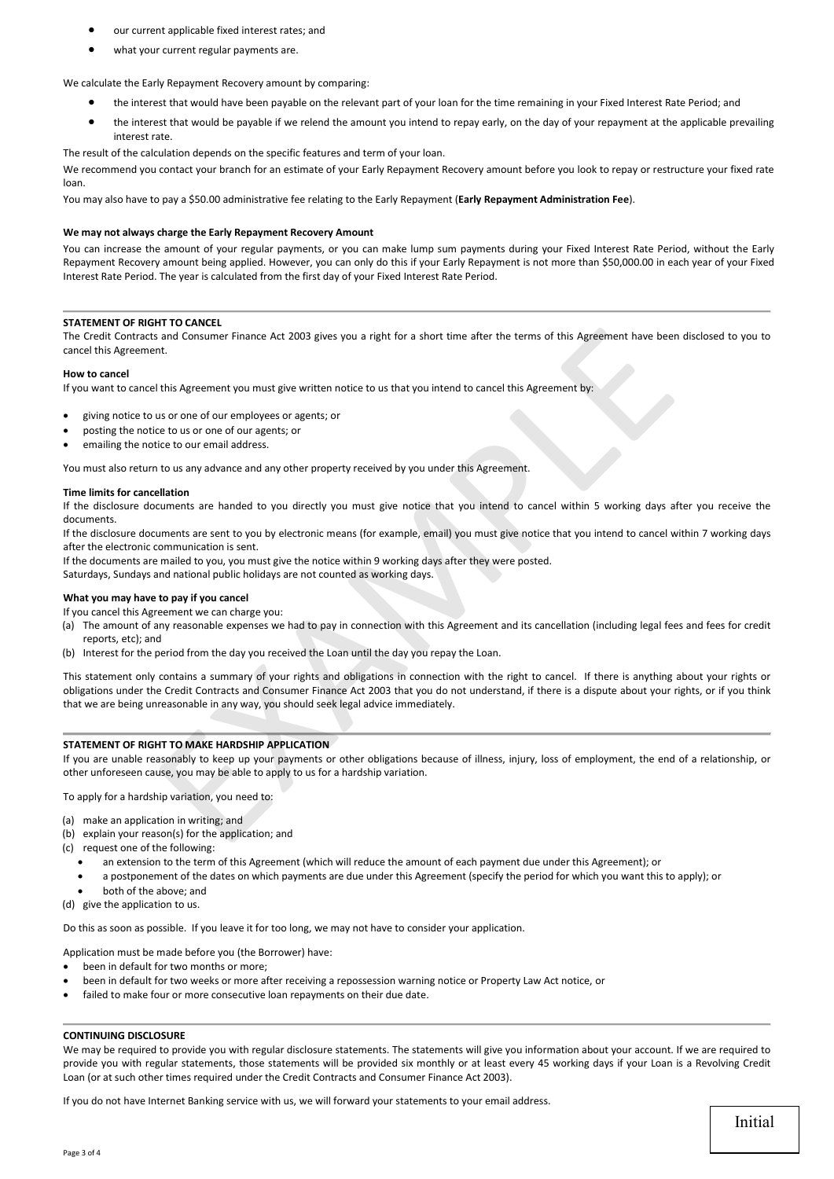- our current applicable fixed interest rates; and
- what your current regular payments are.

## We calculate the Early Repayment Recovery amount by comparing:

- the interest that would have been payable on the relevant part of your loan for the time remaining in your Fixed Interest Rate Period; and
- the interest that would be payable if we relend the amount you intend to repay early, on the day of your repayment at the applicable prevailing interest rate.

The result of the calculation depends on the specific features and term of your loan.

We recommend you contact your branch for an estimate of your Early Repayment Recovery amount before you look to repay or restructure your fixed rate loan.

You may also have to pay a \$50.00 administrative fee relating to the Early Repayment (**Early Repayment Administration Fee**).

#### **We may not always charge the Early Repayment Recovery Amount**

You can increase the amount of your regular payments, or you can make lump sum payments during your Fixed Interest Rate Period, without the Early Repayment Recovery amount being applied. However, you can only do this if your Early Repayment is not more than \$50,000.00 in each year of your Fixed Interest Rate Period. The year is calculated from the first day of your Fixed Interest Rate Period.

#### **STATEMENT OF RIGHT TO CANCEL**

The Credit Contracts and Consumer Finance Act 2003 gives you a right for a short time after the terms of this Agreement have been disclosed to you to cancel this Agreement.

#### **How to cancel**

If you want to cancel this Agreement you must give written notice to us that you intend to cancel this Agreement by:

- giving notice to us or one of our employees or agents; or
- posting the notice to us or one of our agents; or
- emailing the notice to our email address.

You must also return to us any advance and any other property received by you under this Agreement.

#### **Time limits for cancellation**

If the disclosure documents are handed to you directly you must give notice that you intend to cancel within 5 working days after you receive the documents.

If the disclosure documents are sent to you by electronic means (for example, email) you must give notice that you intend to cancel within 7 working days after the electronic communication is sent.

If the documents are mailed to you, you must give the notice within 9 working days after they were posted. Saturdays, Sundays and national public holidays are not counted as working days.

#### **What you may have to pay if you cancel**

If you cancel this Agreement we can charge you:

- (a) The amount of any reasonable expenses we had to pay in connection with this Agreement and its cancellation (including legal fees and fees for credit reports, etc); and
- (b) Interest for the period from the day you received the Loan until the day you repay the Loan.

This statement only contains a summary of your rights and obligations in connection with the right to cancel. If there is anything about your rights or obligations under the Credit Contracts and Consumer Finance Act 2003 that you do not understand, if there is a dispute about your rights, or if you think that we are being unreasonable in any way, you should seek legal advice immediately. and Consumer Finance Act 2003 gives you a right for a short time after the terms of this Agreement have been<br>the Agreement you must give written notice to us that you intend to cancel this Agreement by:<br>the Agreement you m

#### **STATEMENT OF RIGHT TO MAKE HARDSHIP APPLICATION**

If you are unable reasonably to keep up your payments or other obligations because of illness, injury, loss of employment, the end of a relationship, or other unforeseen cause, you may be able to apply to us for a hardship variation.

To apply for a hardship variation, you need to:

- (a) make an application in writing; and
- (b) explain your reason(s) for the application; and
- (c) request one of the following:
	- an extension to the term of this Agreement (which will reduce the amount of each payment due under this Agreement); or
	- a postponement of the dates on which payments are due under this Agreement (specify the period for which you want this to apply); or
- both of the above; and
- (d) give the application to us.

Do this as soon as possible. If you leave it for too long, we may not have to consider your application.

Application must be made before you (the Borrower) have:

- been in default for two months or more:
- been in default for two weeks or more after receiving a repossession warning notice or Property Law Act notice, or
- failed to make four or more consecutive loan repayments on their due date.

#### **CONTINUING DISCLOSURE**

We may be required to provide you with regular disclosure statements. The statements will give you information about your account. If we are required to provide you with regular statements, those statements will be provided six monthly or at least every 45 working days if your Loan is a Revolving Credit Loan (or at such other times required under the Credit Contracts and Consumer Finance Act 2003).

If you do not have Internet Banking service with us, we will forward your statements to your email address.